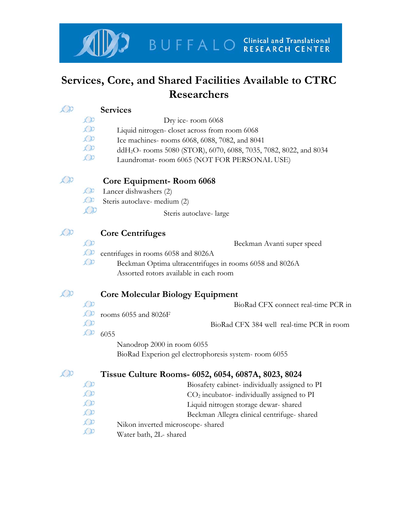

## **Services, Core, and Shared Facilities Available to CTRC Researchers**

| $\mathbb{C}$               |               | <b>Services</b>                                                               |
|----------------------------|---------------|-------------------------------------------------------------------------------|
|                            | $\bigcirc$    | Dry ice-room 6068                                                             |
|                            | AD            | Liquid nitrogen-closet across from room 6068                                  |
|                            | AD            | Ice machines- rooms 6068, 6088, 7082, and 8041                                |
|                            | $\bigcirc$    | ddH <sub>2</sub> O- rooms 5080 (STOR), 6070, 6088, 7035, 7082, 8022, and 8034 |
|                            | $\bigcirc$    | Laundromat-room 6065 (NOT FOR PERSONAL USE)                                   |
| $\mathbb{Z}$ ))            |               | <b>Core Equipment-Room 6068</b>                                               |
|                            | $\mathcal{L}$ | Lancer dishwashers (2)                                                        |
|                            | $\mathcal{L}$ | Steris autoclave- medium (2)                                                  |
|                            | AD            | Steris autoclave-large                                                        |
| $\mathcal{L}(\mathcal{V})$ |               | <b>Core Centrifuges</b>                                                       |
|                            | CDD           | Beckman Avanti super speed                                                    |
|                            | CDD           | centrifuges in rooms 6058 and 8026A                                           |
|                            | CDD           | Beckman Optima ultracentrifuges in rooms 6058 and 8026A                       |
|                            |               | Assorted rotors available in each room                                        |
| $\mathcal{L}(\mathcal{D})$ |               | <b>Core Molecular Biology Equipment</b>                                       |
|                            | AD            | BioRad CFX connect real-time PCR in                                           |
|                            | AD            | rooms 6055 and 8026F                                                          |
|                            | CDD           | BioRad CFX 384 well real-time PCR in room                                     |
|                            | CDD           | 6055                                                                          |
|                            |               | Nanodrop 2000 in room 6055                                                    |
|                            |               | BioRad Experion gel electrophoresis system-room 6055                          |
| $\mathcal{L}(\mathcal{V})$ |               | Tissue Culture Rooms- 6052, 6054, 6087A, 8023, 8024                           |
|                            | CDD           | Biosafety cabinet-individually assigned to PI                                 |
|                            | CDD           | CO <sub>2</sub> incubator-individually assigned to PI                         |
|                            | CDD           | Liquid nitrogen storage dewar-shared                                          |
|                            | CDD           | Beckman Allegra clinical centrifuge-shared                                    |
|                            | CDD           | Nikon inverted microscope-shared                                              |
|                            | <b>KDD</b>    | Water bath, 2L- shared                                                        |